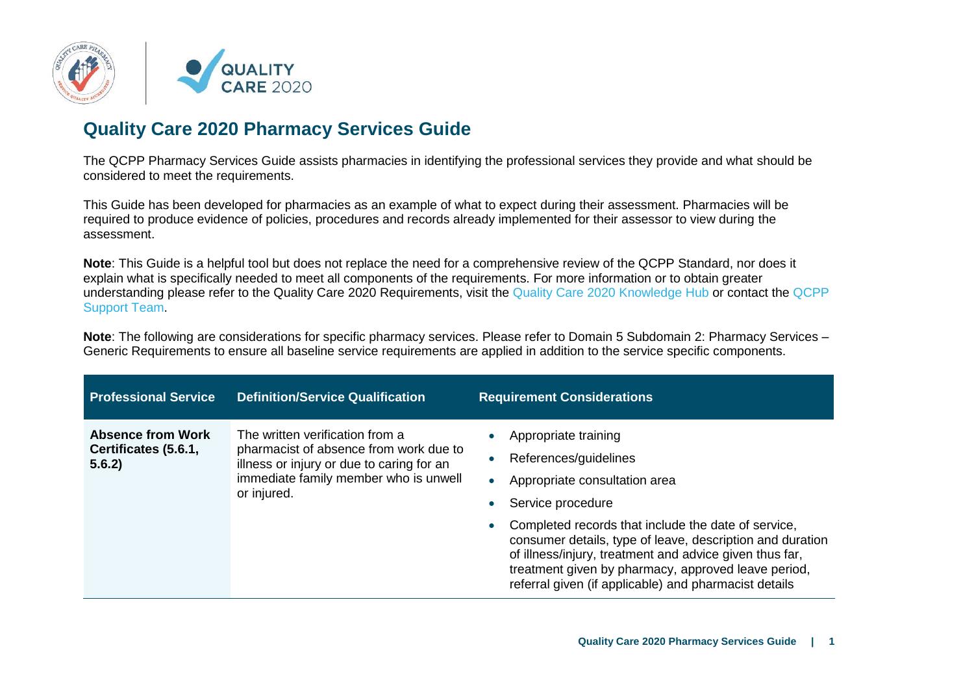

## **Quality Care 2020 Pharmacy Services Guide**

The QCPP Pharmacy Services Guide assists pharmacies in identifying the professional services they provide and what should be considered to meet the requirements.

This Guide has been developed for pharmacies as an example of what to expect during their assessment. Pharmacies will be required to produce evidence of policies, procedures and records already implemented for their assessor to view during the assessment.

**Note**: This Guide is a helpful tool but does not replace the need for a comprehensive review of the QCPP Standard, nor does it explain what is specifically needed to meet all components of the requirements. For more information or to obtain greater understanding please refer to the Quality Care 2020 Requirements, visit the [Quality Care 2020](https://portal.qcpp.com/knowledgebase/) Knowledge Hub or contact the [QCPP](https://www.qcpp.com/contact-us)  [Support Team.](https://www.qcpp.com/contact-us)

**Note**: The following are considerations for specific pharmacy services. Please refer to Domain 5 Subdomain 2: Pharmacy Services – Generic Requirements to ensure all baseline service requirements are applied in addition to the service specific components.

| <b>Professional Service</b>                                | <b>Definition/Service Qualification</b>                                                                                                                                        | <b>Requirement Considerations</b>                                                                                                                                                                                                                                                                                                                                                                                                                      |
|------------------------------------------------------------|--------------------------------------------------------------------------------------------------------------------------------------------------------------------------------|--------------------------------------------------------------------------------------------------------------------------------------------------------------------------------------------------------------------------------------------------------------------------------------------------------------------------------------------------------------------------------------------------------------------------------------------------------|
| <b>Absence from Work</b><br>Certificates (5.6.1,<br>5.6.2) | The written verification from a<br>pharmacist of absence from work due to<br>illness or injury or due to caring for an<br>immediate family member who is unwell<br>or injured. | Appropriate training<br>References/guidelines<br>$\bullet$<br>Appropriate consultation area<br>$\bullet$<br>Service procedure<br>$\bullet$<br>Completed records that include the date of service,<br>$\bullet$<br>consumer details, type of leave, description and duration<br>of illness/injury, treatment and advice given thus far,<br>treatment given by pharmacy, approved leave period,<br>referral given (if applicable) and pharmacist details |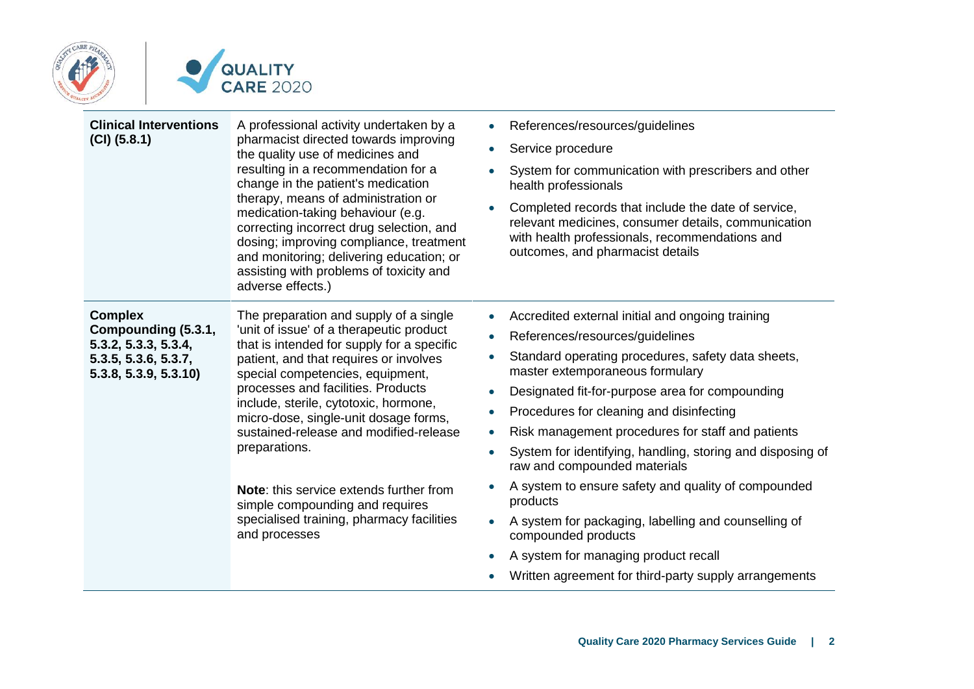



| <b>Clinical Interventions</b><br>$(CI)$ $(5.8.1)$                                                             | A professional activity undertaken by a<br>pharmacist directed towards improving<br>the quality use of medicines and<br>resulting in a recommendation for a<br>change in the patient's medication<br>therapy, means of administration or<br>medication-taking behaviour (e.g.<br>correcting incorrect drug selection, and<br>dosing; improving compliance, treatment<br>and monitoring; delivering education; or<br>assisting with problems of toxicity and<br>adverse effects.)                                                                     | References/resources/guidelines<br>Service procedure<br>System for communication with prescribers and other<br>health professionals<br>Completed records that include the date of service,<br>$\bullet$<br>relevant medicines, consumer details, communication<br>with health professionals, recommendations and<br>outcomes, and pharmacist details                                                                                                                                                                                                                                                                                                                                                                     |
|---------------------------------------------------------------------------------------------------------------|------------------------------------------------------------------------------------------------------------------------------------------------------------------------------------------------------------------------------------------------------------------------------------------------------------------------------------------------------------------------------------------------------------------------------------------------------------------------------------------------------------------------------------------------------|--------------------------------------------------------------------------------------------------------------------------------------------------------------------------------------------------------------------------------------------------------------------------------------------------------------------------------------------------------------------------------------------------------------------------------------------------------------------------------------------------------------------------------------------------------------------------------------------------------------------------------------------------------------------------------------------------------------------------|
| <b>Complex</b><br>Compounding (5.3.1,<br>5.3.2, 5.3.3, 5.3.4,<br>5.3.5, 5.3.6, 5.3.7,<br>5.3.8, 5.3.9, 5.3.10 | The preparation and supply of a single<br>'unit of issue' of a therapeutic product<br>that is intended for supply for a specific<br>patient, and that requires or involves<br>special competencies, equipment,<br>processes and facilities. Products<br>include, sterile, cytotoxic, hormone,<br>micro-dose, single-unit dosage forms,<br>sustained-release and modified-release<br>preparations.<br><b>Note:</b> this service extends further from<br>simple compounding and requires<br>specialised training, pharmacy facilities<br>and processes | Accredited external initial and ongoing training<br>References/resources/guidelines<br>$\bullet$<br>Standard operating procedures, safety data sheets,<br>master extemporaneous formulary<br>Designated fit-for-purpose area for compounding<br>Procedures for cleaning and disinfecting<br>$\bullet$<br>Risk management procedures for staff and patients<br>System for identifying, handling, storing and disposing of<br>raw and compounded materials<br>A system to ensure safety and quality of compounded<br>products<br>A system for packaging, labelling and counselling of<br>$\bullet$<br>compounded products<br>A system for managing product recall<br>Written agreement for third-party supply arrangements |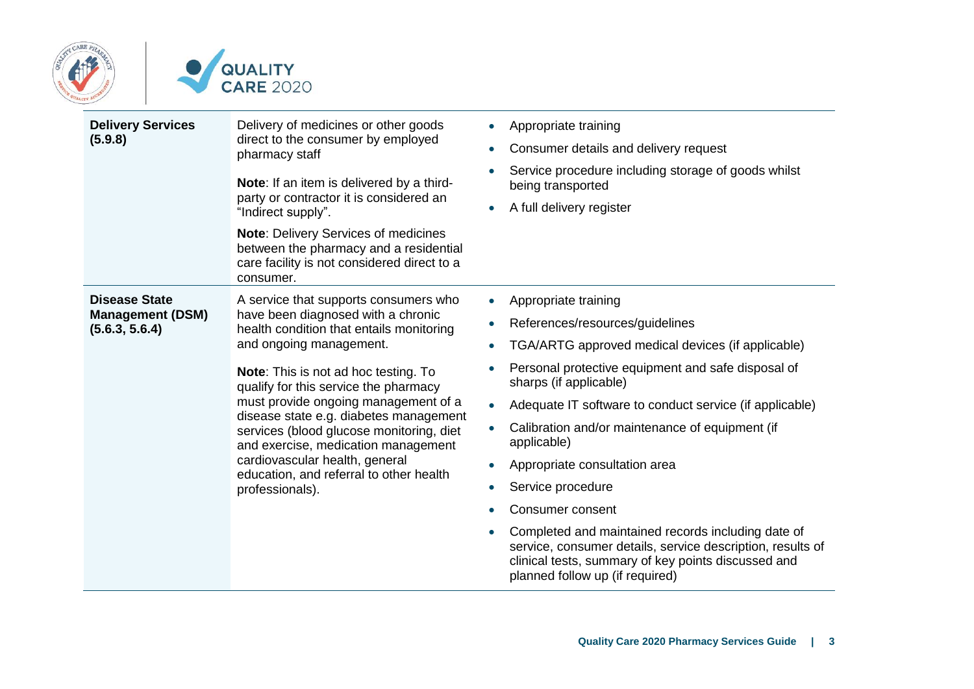



| <b>Delivery Services</b><br>(5.9.8)                               | Delivery of medicines or other goods<br>direct to the consumer by employed<br>pharmacy staff<br>Note: If an item is delivered by a third-<br>party or contractor it is considered an<br>"Indirect supply".<br><b>Note: Delivery Services of medicines</b><br>between the pharmacy and a residential<br>care facility is not considered direct to a<br>consumer.                                                                                                                                          | Appropriate training<br>Consumer details and delivery request<br>$\bullet$<br>Service procedure including storage of goods whilst<br>being transported<br>A full delivery register                                                                                                                                                                                                                                                                                                                                                                                                                                                                       |
|-------------------------------------------------------------------|----------------------------------------------------------------------------------------------------------------------------------------------------------------------------------------------------------------------------------------------------------------------------------------------------------------------------------------------------------------------------------------------------------------------------------------------------------------------------------------------------------|----------------------------------------------------------------------------------------------------------------------------------------------------------------------------------------------------------------------------------------------------------------------------------------------------------------------------------------------------------------------------------------------------------------------------------------------------------------------------------------------------------------------------------------------------------------------------------------------------------------------------------------------------------|
| <b>Disease State</b><br><b>Management (DSM)</b><br>(5.6.3, 5.6.4) | A service that supports consumers who<br>have been diagnosed with a chronic<br>health condition that entails monitoring<br>and ongoing management.<br>Note: This is not ad hoc testing. To<br>qualify for this service the pharmacy<br>must provide ongoing management of a<br>disease state e.g. diabetes management<br>services (blood glucose monitoring, diet<br>and exercise, medication management<br>cardiovascular health, general<br>education, and referral to other health<br>professionals). | Appropriate training<br>$\bullet$<br>References/resources/guidelines<br>$\bullet$<br>TGA/ARTG approved medical devices (if applicable)<br>Personal protective equipment and safe disposal of<br>sharps (if applicable)<br>Adequate IT software to conduct service (if applicable)<br>$\bullet$<br>Calibration and/or maintenance of equipment (if<br>applicable)<br>Appropriate consultation area<br>Service procedure<br>Consumer consent<br>Completed and maintained records including date of<br>service, consumer details, service description, results of<br>clinical tests, summary of key points discussed and<br>planned follow up (if required) |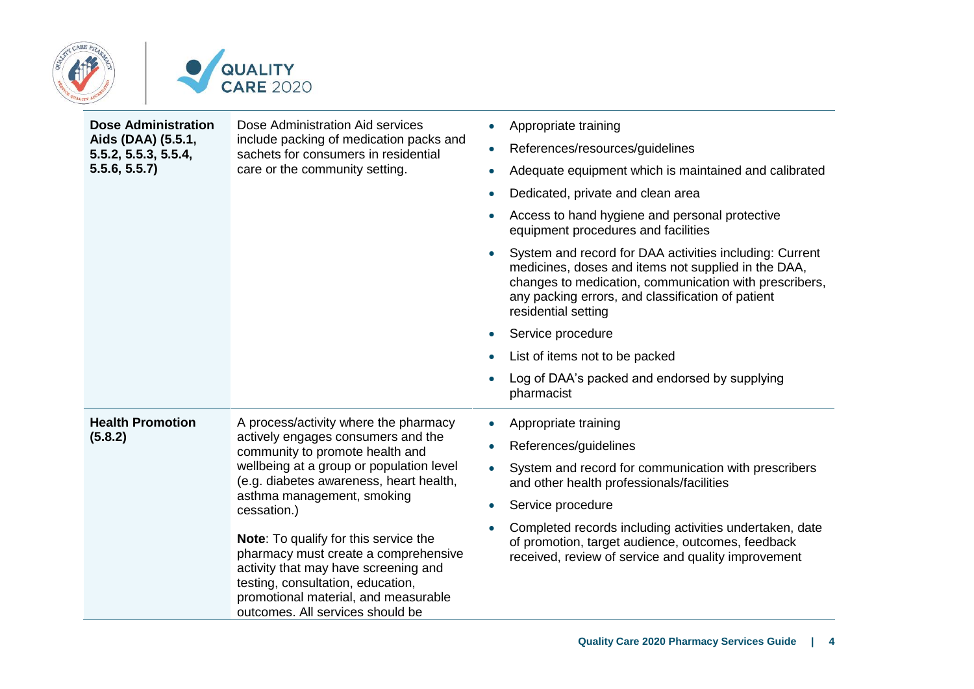

| <b>Dose Administration</b><br>Dose Administration Aid services<br>Aids (DAA) (5.5.1,<br>include packing of medication packs and<br>sachets for consumers in residential<br>5.5.2, 5.5.3, 5.5.4,<br>5.5.6, 5.5.7<br>care or the community setting.                                                                                                                                                                                                                                                                                         | Appropriate training<br>$\bullet$<br>References/resources/guidelines<br>$\bullet$<br>Adequate equipment which is maintained and calibrated<br>$\bullet$<br>Dedicated, private and clean area<br>$\bullet$<br>Access to hand hygiene and personal protective |                                                                                                                                                                                                                                                                                                          |
|-------------------------------------------------------------------------------------------------------------------------------------------------------------------------------------------------------------------------------------------------------------------------------------------------------------------------------------------------------------------------------------------------------------------------------------------------------------------------------------------------------------------------------------------|-------------------------------------------------------------------------------------------------------------------------------------------------------------------------------------------------------------------------------------------------------------|----------------------------------------------------------------------------------------------------------------------------------------------------------------------------------------------------------------------------------------------------------------------------------------------------------|
|                                                                                                                                                                                                                                                                                                                                                                                                                                                                                                                                           |                                                                                                                                                                                                                                                             | equipment procedures and facilities<br>System and record for DAA activities including: Current<br>$\bullet$<br>medicines, doses and items not supplied in the DAA,<br>changes to medication, communication with prescribers,<br>any packing errors, and classification of patient<br>residential setting |
|                                                                                                                                                                                                                                                                                                                                                                                                                                                                                                                                           |                                                                                                                                                                                                                                                             | Service procedure                                                                                                                                                                                                                                                                                        |
|                                                                                                                                                                                                                                                                                                                                                                                                                                                                                                                                           |                                                                                                                                                                                                                                                             | List of items not to be packed                                                                                                                                                                                                                                                                           |
|                                                                                                                                                                                                                                                                                                                                                                                                                                                                                                                                           |                                                                                                                                                                                                                                                             | Log of DAA's packed and endorsed by supplying<br>pharmacist                                                                                                                                                                                                                                              |
| <b>Health Promotion</b><br>A process/activity where the pharmacy<br>(5.8.2)<br>actively engages consumers and the<br>community to promote health and<br>wellbeing at a group or population level<br>(e.g. diabetes awareness, heart health,<br>asthma management, smoking<br>cessation.)<br><b>Note:</b> To qualify for this service the<br>pharmacy must create a comprehensive<br>activity that may have screening and<br>testing, consultation, education,<br>promotional material, and measurable<br>outcomes. All services should be |                                                                                                                                                                                                                                                             | Appropriate training<br>$\bullet$                                                                                                                                                                                                                                                                        |
|                                                                                                                                                                                                                                                                                                                                                                                                                                                                                                                                           |                                                                                                                                                                                                                                                             | References/guidelines<br>$\bullet$                                                                                                                                                                                                                                                                       |
|                                                                                                                                                                                                                                                                                                                                                                                                                                                                                                                                           |                                                                                                                                                                                                                                                             | System and record for communication with prescribers<br>and other health professionals/facilities                                                                                                                                                                                                        |
|                                                                                                                                                                                                                                                                                                                                                                                                                                                                                                                                           | Service procedure<br>$\bullet$                                                                                                                                                                                                                              |                                                                                                                                                                                                                                                                                                          |
|                                                                                                                                                                                                                                                                                                                                                                                                                                                                                                                                           |                                                                                                                                                                                                                                                             | Completed records including activities undertaken, date<br>of promotion, target audience, outcomes, feedback<br>received, review of service and quality improvement                                                                                                                                      |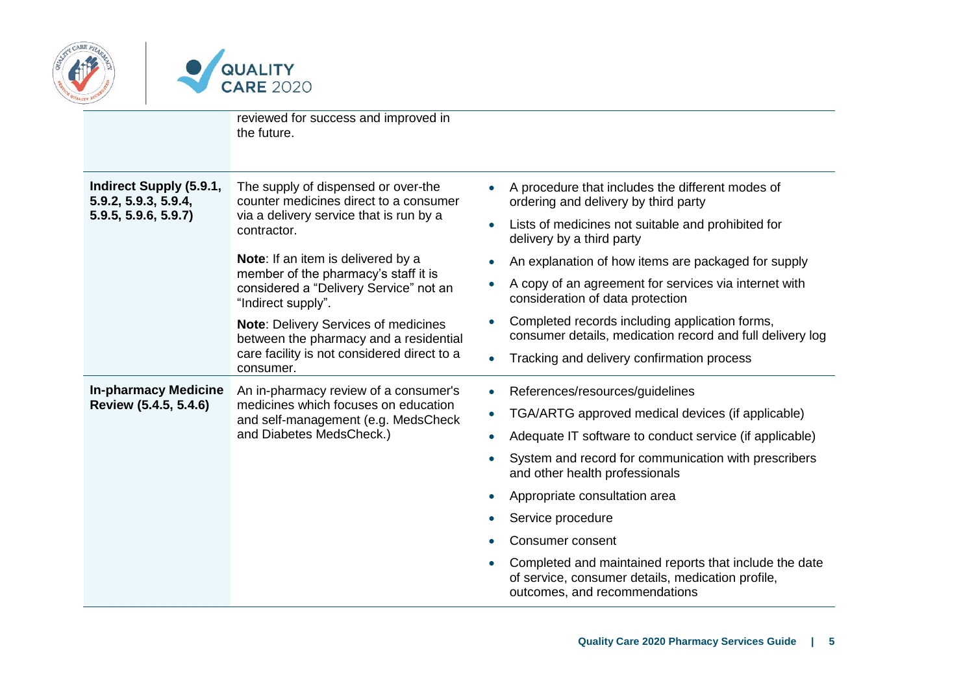



|                                                 | reviewed for success and improved in<br>the future.                                                                                               |                                                                                                                                                           |
|-------------------------------------------------|---------------------------------------------------------------------------------------------------------------------------------------------------|-----------------------------------------------------------------------------------------------------------------------------------------------------------|
| Indirect Supply (5.9.1,<br>5.9.2, 5.9.3, 5.9.4, | The supply of dispensed or over-the<br>counter medicines direct to a consumer<br>via a delivery service that is run by a<br>contractor.           | A procedure that includes the different modes of<br>ordering and delivery by third party                                                                  |
| 5.9.5, 5.9.6, 5.9.7)                            |                                                                                                                                                   | Lists of medicines not suitable and prohibited for<br>$\bullet$<br>delivery by a third party                                                              |
|                                                 | Note: If an item is delivered by a                                                                                                                | An explanation of how items are packaged for supply<br>$\bullet$                                                                                          |
|                                                 | member of the pharmacy's staff it is<br>considered a "Delivery Service" not an<br>"Indirect supply".                                              | A copy of an agreement for services via internet with<br>$\bullet$<br>consideration of data protection                                                    |
|                                                 | <b>Note: Delivery Services of medicines</b><br>between the pharmacy and a residential<br>care facility is not considered direct to a<br>consumer. | Completed records including application forms,<br>$\bullet$<br>consumer details, medication record and full delivery log                                  |
|                                                 |                                                                                                                                                   | Tracking and delivery confirmation process<br>$\bullet$                                                                                                   |
| <b>In-pharmacy Medicine</b>                     | An in-pharmacy review of a consumer's<br>medicines which focuses on education<br>and self-management (e.g. MedsCheck                              | References/resources/guidelines<br>$\bullet$                                                                                                              |
| Review (5.4.5, 5.4.6)                           |                                                                                                                                                   | TGA/ARTG approved medical devices (if applicable)<br>$\bullet$                                                                                            |
|                                                 | and Diabetes MedsCheck.)                                                                                                                          | Adequate IT software to conduct service (if applicable)<br>$\bullet$                                                                                      |
|                                                 |                                                                                                                                                   | System and record for communication with prescribers<br>and other health professionals                                                                    |
|                                                 |                                                                                                                                                   | Appropriate consultation area<br>$\bullet$                                                                                                                |
|                                                 |                                                                                                                                                   | Service procedure                                                                                                                                         |
|                                                 |                                                                                                                                                   | Consumer consent                                                                                                                                          |
|                                                 |                                                                                                                                                   | Completed and maintained reports that include the date<br>$\bullet$<br>of service, consumer details, medication profile,<br>outcomes, and recommendations |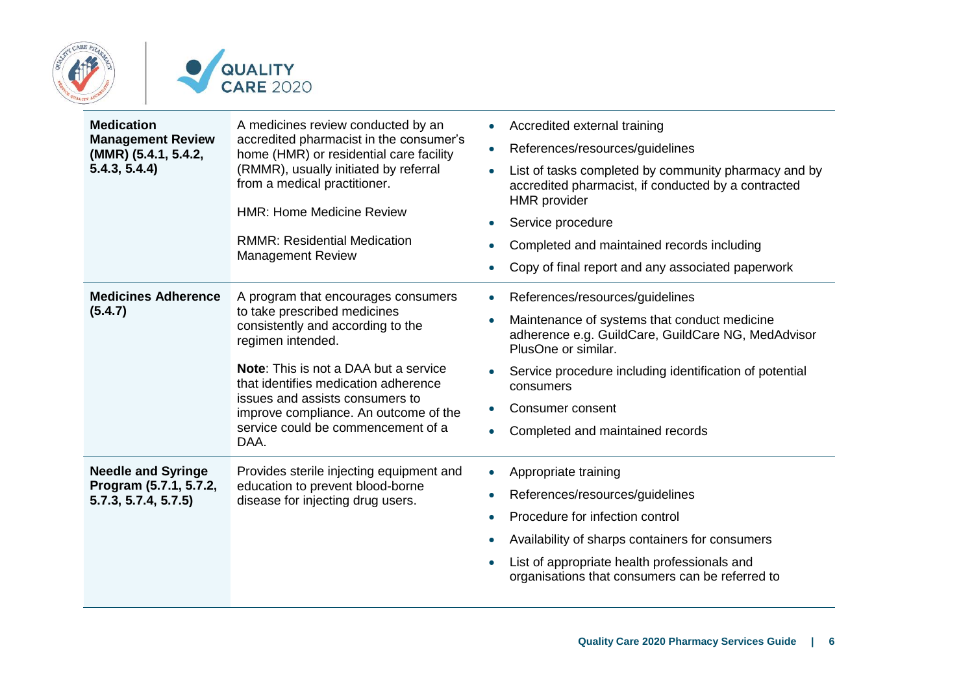

| <b>Medication</b><br><b>Management Review</b>                              | A medicines review conducted by an<br>accredited pharmacist in the consumer's<br>(MMR) (5.4.1, 5.4.2,<br>home (HMR) or residential care facility<br>5.4.3, 5.4.4)<br>(RMMR), usually initiated by referral<br>from a medical practitioner. | Accredited external training<br>$\bullet$                                                                                                       |
|----------------------------------------------------------------------------|--------------------------------------------------------------------------------------------------------------------------------------------------------------------------------------------------------------------------------------------|-------------------------------------------------------------------------------------------------------------------------------------------------|
|                                                                            |                                                                                                                                                                                                                                            | References/resources/guidelines<br>$\bullet$                                                                                                    |
|                                                                            |                                                                                                                                                                                                                                            | List of tasks completed by community pharmacy and by<br>$\bullet$<br>accredited pharmacist, if conducted by a contracted<br><b>HMR</b> provider |
|                                                                            | <b>HMR: Home Medicine Review</b>                                                                                                                                                                                                           | Service procedure<br>$\bullet$                                                                                                                  |
|                                                                            | <b>RMMR: Residential Medication</b><br><b>Management Review</b>                                                                                                                                                                            | Completed and maintained records including                                                                                                      |
|                                                                            |                                                                                                                                                                                                                                            | Copy of final report and any associated paperwork<br>$\bullet$                                                                                  |
| <b>Medicines Adherence</b><br>(5.4.7)                                      | A program that encourages consumers<br>to take prescribed medicines<br>consistently and according to the<br>regimen intended.                                                                                                              | References/resources/guidelines<br>$\bullet$                                                                                                    |
|                                                                            |                                                                                                                                                                                                                                            | Maintenance of systems that conduct medicine<br>$\bullet$<br>adherence e.g. GuildCare, GuildCare NG, MedAdvisor<br>PlusOne or similar.          |
|                                                                            | <b>Note:</b> This is not a DAA but a service<br>that identifies medication adherence                                                                                                                                                       | Service procedure including identification of potential<br>$\bullet$<br>consumers                                                               |
|                                                                            | issues and assists consumers to<br>improve compliance. An outcome of the<br>service could be commencement of a<br>DAA.                                                                                                                     | Consumer consent<br>$\bullet$                                                                                                                   |
|                                                                            |                                                                                                                                                                                                                                            | Completed and maintained records<br>$\bullet$                                                                                                   |
| <b>Needle and Syringe</b><br>Program (5.7.1, 5.7.2,<br>5.7.3, 5.7.4, 5.7.5 | Provides sterile injecting equipment and<br>education to prevent blood-borne<br>disease for injecting drug users.                                                                                                                          | Appropriate training<br>$\bullet$                                                                                                               |
|                                                                            |                                                                                                                                                                                                                                            | References/resources/guidelines<br>$\bullet$                                                                                                    |
|                                                                            |                                                                                                                                                                                                                                            | Procedure for infection control                                                                                                                 |
|                                                                            |                                                                                                                                                                                                                                            | Availability of sharps containers for consumers                                                                                                 |
|                                                                            |                                                                                                                                                                                                                                            | List of appropriate health professionals and<br>organisations that consumers can be referred to                                                 |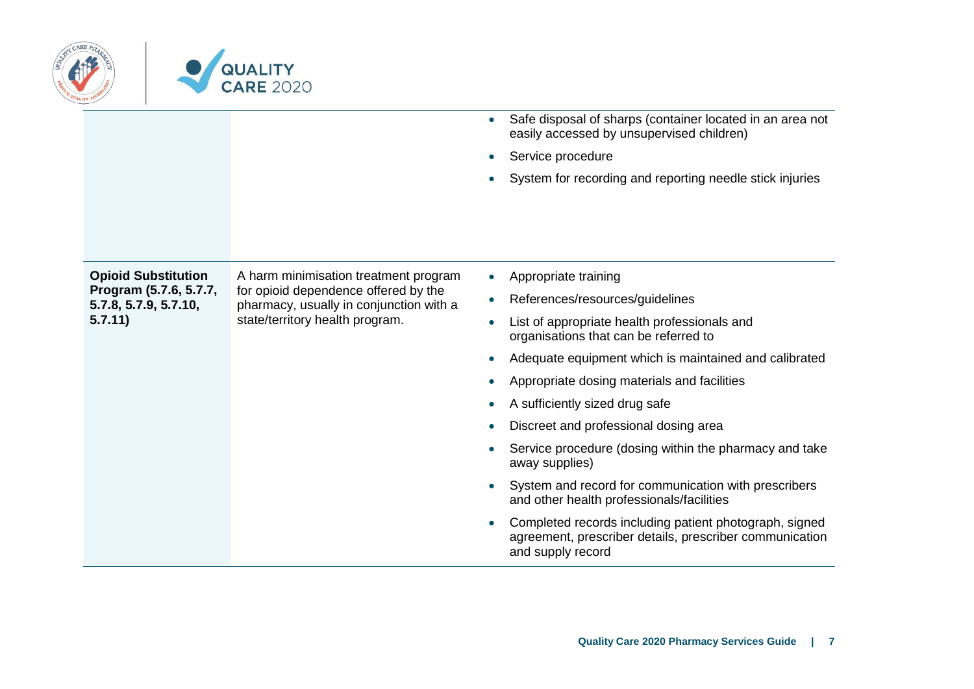

|                                                                                          |                                                                                                                                                             | Safe disposal of sharps (container located in an area not<br>$\bullet$<br>easily accessed by unsupervised children)<br>Service procedure<br>System for recording and reporting needle stick injuries<br>$\bullet$                                                                                                                                                                                                                                                                                                                                                                                                                                                                                                               |
|------------------------------------------------------------------------------------------|-------------------------------------------------------------------------------------------------------------------------------------------------------------|---------------------------------------------------------------------------------------------------------------------------------------------------------------------------------------------------------------------------------------------------------------------------------------------------------------------------------------------------------------------------------------------------------------------------------------------------------------------------------------------------------------------------------------------------------------------------------------------------------------------------------------------------------------------------------------------------------------------------------|
| <b>Opioid Substitution</b><br>Program (5.7.6, 5.7.7,<br>5.7.8, 5.7.9, 5.7.10,<br>5.7.11) | A harm minimisation treatment program<br>for opioid dependence offered by the<br>pharmacy, usually in conjunction with a<br>state/territory health program. | Appropriate training<br>$\bullet$<br>References/resources/guidelines<br>$\bullet$<br>List of appropriate health professionals and<br>$\bullet$<br>organisations that can be referred to<br>Adequate equipment which is maintained and calibrated<br>Appropriate dosing materials and facilities<br>$\bullet$<br>A sufficiently sized drug safe<br>Discreet and professional dosing area<br>Service procedure (dosing within the pharmacy and take<br>$\bullet$<br>away supplies)<br>System and record for communication with prescribers<br>and other health professionals/facilities<br>Completed records including patient photograph, signed<br>agreement, prescriber details, prescriber communication<br>and supply record |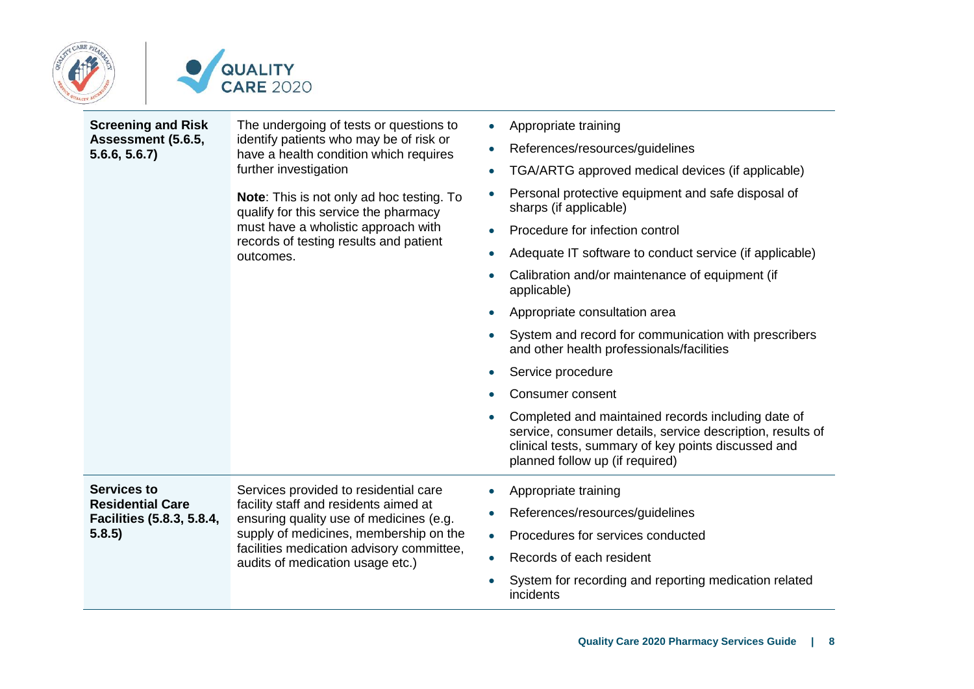



| <b>Screening and Risk</b><br>Assessment (5.6.5,<br>5.6.6, 5.6.7                      | The undergoing of tests or questions to<br>identify patients who may be of risk or<br>have a health condition which requires<br>further investigation<br><b>Note:</b> This is not only ad hoc testing. To<br>qualify for this service the pharmacy<br>must have a wholistic approach with<br>records of testing results and patient<br>outcomes. | Appropriate training<br>References/resources/guidelines<br>$\bullet$<br>TGA/ARTG approved medical devices (if applicable)<br>Personal protective equipment and safe disposal of<br>sharps (if applicable)<br>Procedure for infection control<br>Adequate IT software to conduct service (if applicable)<br>Calibration and/or maintenance of equipment (if<br>applicable)<br>Appropriate consultation area<br>System and record for communication with prescribers<br>and other health professionals/facilities<br>Service procedure<br>Consumer consent<br>Completed and maintained records including date of<br>service, consumer details, service description, results of<br>clinical tests, summary of key points discussed and<br>planned follow up (if required) |
|--------------------------------------------------------------------------------------|--------------------------------------------------------------------------------------------------------------------------------------------------------------------------------------------------------------------------------------------------------------------------------------------------------------------------------------------------|------------------------------------------------------------------------------------------------------------------------------------------------------------------------------------------------------------------------------------------------------------------------------------------------------------------------------------------------------------------------------------------------------------------------------------------------------------------------------------------------------------------------------------------------------------------------------------------------------------------------------------------------------------------------------------------------------------------------------------------------------------------------|
| <b>Services to</b><br><b>Residential Care</b><br>Facilities (5.8.3, 5.8.4,<br>5.8.5) | Services provided to residential care<br>facility staff and residents aimed at<br>ensuring quality use of medicines (e.g.<br>supply of medicines, membership on the<br>facilities medication advisory committee,<br>audits of medication usage etc.)                                                                                             | Appropriate training<br>$\bullet$<br>References/resources/guidelines<br>$\bullet$<br>Procedures for services conducted<br>$\bullet$<br>Records of each resident<br>$\bullet$<br>System for recording and reporting medication related<br>incidents                                                                                                                                                                                                                                                                                                                                                                                                                                                                                                                     |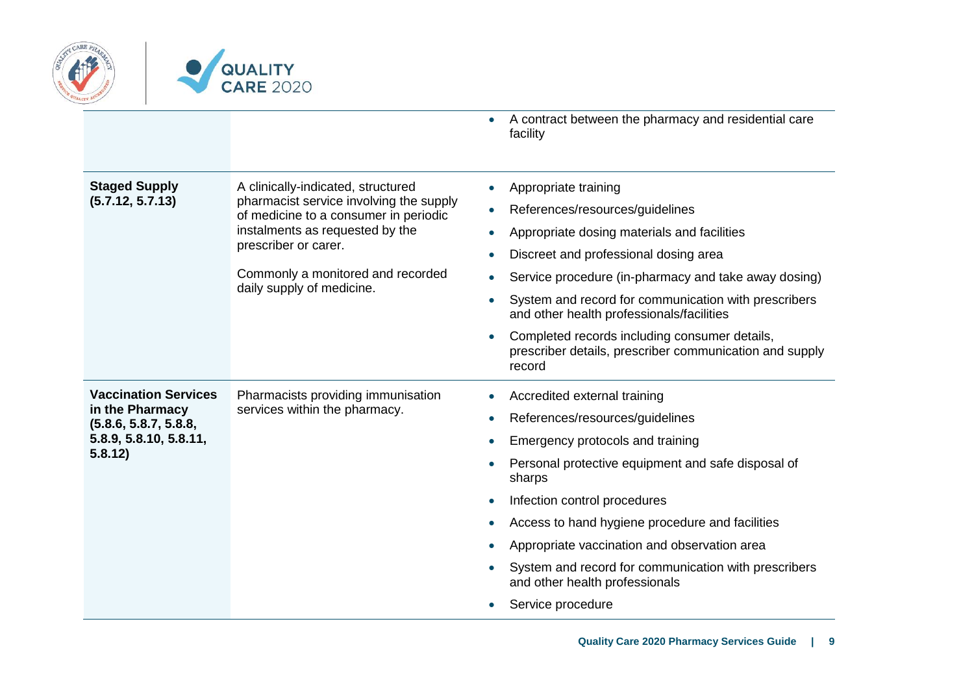

|                                                                                                              |                                                                                                                                                                                                                                                     | A contract between the pharmacy and residential care<br>facility                                                                                                                                                                                                                                                                                                                                                                                                                                                                   |
|--------------------------------------------------------------------------------------------------------------|-----------------------------------------------------------------------------------------------------------------------------------------------------------------------------------------------------------------------------------------------------|------------------------------------------------------------------------------------------------------------------------------------------------------------------------------------------------------------------------------------------------------------------------------------------------------------------------------------------------------------------------------------------------------------------------------------------------------------------------------------------------------------------------------------|
| <b>Staged Supply</b><br>(5.7.12, 5.7.13)                                                                     | A clinically-indicated, structured<br>pharmacist service involving the supply<br>of medicine to a consumer in periodic<br>instalments as requested by the<br>prescriber or carer.<br>Commonly a monitored and recorded<br>daily supply of medicine. | Appropriate training<br>$\bullet$<br>References/resources/guidelines<br>$\bullet$<br>Appropriate dosing materials and facilities<br>$\bullet$<br>Discreet and professional dosing area<br>$\bullet$<br>Service procedure (in-pharmacy and take away dosing)<br>$\bullet$<br>System and record for communication with prescribers<br>$\bullet$<br>and other health professionals/facilities<br>Completed records including consumer details,<br>$\bullet$<br>prescriber details, prescriber communication and supply<br>record      |
| <b>Vaccination Services</b><br>in the Pharmacy<br>(5.8.6, 5.8.7, 5.8.8,<br>5.8.9, 5.8.10, 5.8.11,<br>5.8.12) | Pharmacists providing immunisation<br>services within the pharmacy.                                                                                                                                                                                 | Accredited external training<br>$\bullet$<br>References/resources/guidelines<br>$\bullet$<br>Emergency protocols and training<br>$\bullet$<br>Personal protective equipment and safe disposal of<br>$\bullet$<br>sharps<br>Infection control procedures<br>$\bullet$<br>Access to hand hygiene procedure and facilities<br>0<br>Appropriate vaccination and observation area<br>$\bullet$<br>System and record for communication with prescribers<br>$\bullet$<br>and other health professionals<br>Service procedure<br>$\bullet$ |